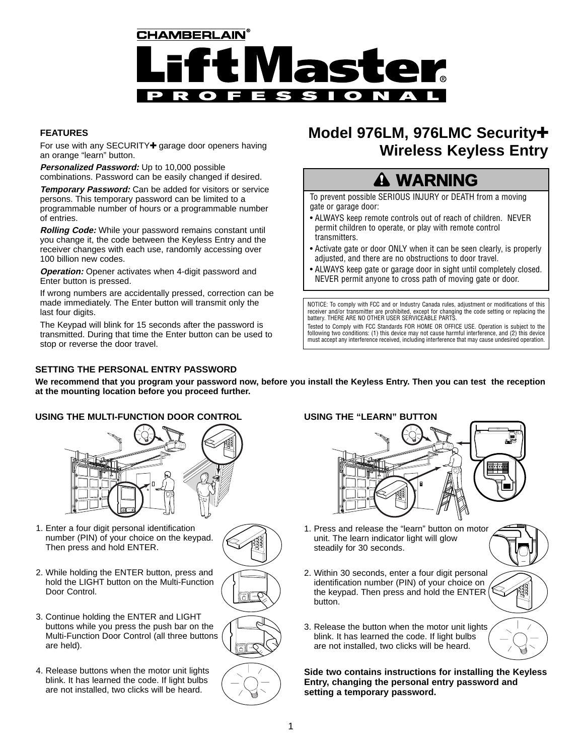

## **FEATURES**

For use with any SECURITY+ garage door openers having an orange "learn" button.

**Personalized Password:** Up to 10,000 possible combinations. Password can be easily changed if desired.

**Temporary Password:** Can be added for visitors or service persons. This temporary password can be limited to a programmable number of hours or a programmable number of entries.

**Rolling Code:** While your password remains constant until you change it, the code between the Keyless Entry and the receiver changes with each use, randomly accessing over 100 billion new codes.

**Operation:** Opener activates when 4-digit password and Enter button is pressed.

If wrong numbers are accidentally pressed, correction can be made immediately. The Enter button will transmit only the last four digits.

The Keypad will blink for 15 seconds after the password is transmitted. During that time the Enter button can be used to stop or reverse the door travel.

# **SETTING THE PERSONAL ENTRY PASSWORD**

# **Model 976LM, 976LMC Security**✚ **Wireless Keyless Entry**

# **WARNING**

To prevent possible SERIOUS INJURY or DEATH from a moving gate or garage door:

- ALWAYS keep remote controls out of reach of children. NEVER permit children to operate, or play with remote control transmitters.
- Activate gate or door ONLY when it can be seen clearly, is properly adjusted, and there are no obstructions to door travel.
- ALWAYS keep gate or garage door in sight until completely closed. NEVER permit anyone to cross path of moving gate or door.

NOTICE: To comply with FCC and or Industry Canada rules, adjustment or modifications of this receiver and/or transmitter are prohibited, except for changing the code setting or replacing the battery. THERE ARE NO OTHER USER SERVICEABLE PARTS.

Tested to Comply with FCC Standards FOR HOME OR OFFICE USE. Operation is subject to the following two conditions: (1) this device may not cause harmful interference, and (2) this device must accept any interference received, including interference that may cause undesired operation.

**We recommend that you program your password now, before you install the Keyless Entry. Then you can test the reception at the mounting location before you proceed further.**

## **USING THE MULTI-FUNCTION DOOR CONTROL USING THE "LEARN" BUTTON**



- 1. Enter a four digit personal identification number (PIN) of your choice on the keypad. Then press and hold ENTER.
- 2. While holding the ENTER button, press and hold the LIGHT button on the Multi-Function Door Control.
- 3. Continue holding the ENTER and LIGHT buttons while you press the push bar on the Multi-Function Door Control (all three buttons are held).
- 4. Release buttons when the motor unit lights blink. It has learned the code. If light bulbs are not installed, two clicks will be heard.





- 1. Press and release the "learn" button on motor unit. The learn indicator light will glow steadily for 30 seconds.
- 2. Within 30 seconds, enter a four digit personal identification number (PIN) of your choice on the keypad. Then press and hold the ENTER button.
- 3. Release the button when the motor unit lights blink. It has learned the code. If light bulbs are not installed, two clicks will be heard.

**Side two contains instructions for installing the Keyless Entry, changing the personal entry password and setting a temporary password.**

LIGHT

LIGHT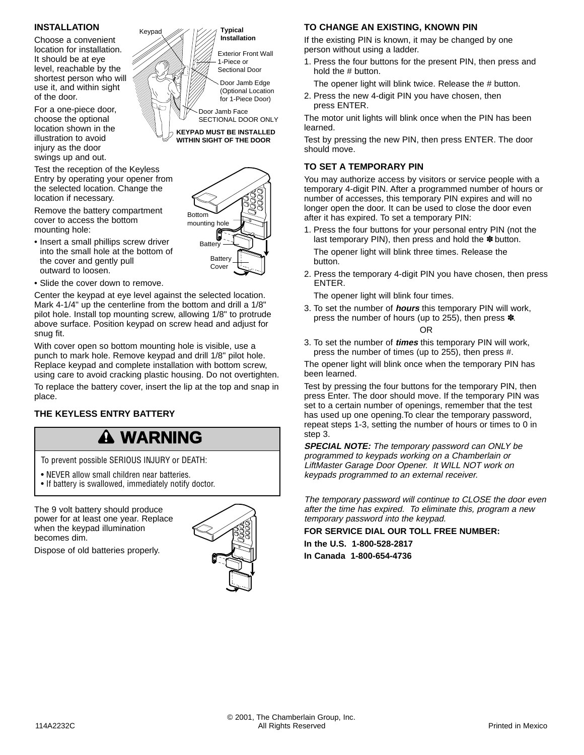## **INSTALLATION**

Choose a convenient location for installation. It should be at eye level, reachable by the shortest person who will use it, and within sight of the door.

For a one-piece door, choose the optional location shown in the illustration to avoid injury as the door swings up and out.

Test the reception of the Keyless Entry by operating your opener from the selected location. Change the location if necessary.

Remove the battery compartment cover to access the bottom mounting hole:

- Insert a small phillips screw driver into the small hole at the bottom of the cover and gently pull outward to loosen.
- Slide the cover down to remove.

Center the keypad at eye level against the selected location. Mark 4-1/4" up the centerline from the bottom and drill a 1/8" pilot hole. Install top mounting screw, allowing 1/8" to protrude above surface. Position keypad on screw head and adjust for snug fit.

Keypad

With cover open so bottom mounting hole is visible, use a punch to mark hole. Remove keypad and drill 1/8" pilot hole. Replace keypad and complete installation with bottom screw, using care to avoid cracking plastic housing. Do not overtighten.

To replace the battery cover, insert the lip at the top and snap in place.

# **THE KEYLESS ENTRY BATTERY**

# **WARNING**

To prevent possible SERIOUS INJURY or DEATH:

- NEVER allow small children near batteries.
- If battery is swallowed, immediately notify doctor.

The 9 volt battery should produce power for at least one year. Replace when the keypad illumination becomes dim.

Dispose of old batteries properly.



Door Jamb Edge (Optional Location for 1-Piece Door)

Exterior Front Wall 1-Piece or Sectional Door

**Typical Installation**

Door Jamb Face SECTIONAL DOOR ONLY **KEYPAD MUST BE INSTALLED WITHIN SIGHT OF THE DOOR**

**Battery** 

**Battery** Cove

Bottom mounting hole

## **TO CHANGE AN EXISTING, KNOWN PIN**

If the existing PIN is known, it may be changed by one person without using a ladder.

1. Press the four buttons for the present PIN, then press and hold the # button.

The opener light will blink twice. Release the # button.

2. Press the new 4-digit PIN you have chosen, then press ENTER.

The motor unit lights will blink once when the PIN has been learned.

Test by pressing the new PIN, then press ENTER. The door should move.

## **TO SET A TEMPORARY PIN**

You may authorize access by visitors or service people with a temporary 4-digit PIN. After a programmed number of hours or number of accesses, this temporary PIN expires and will no longer open the door. It can be used to close the door even after it has expired. To set a temporary PIN:

- 1. Press the four buttons for your personal entry PIN (not the last temporary PIN), then press and hold the  $*$  button. The opener light will blink three times. Release the button.
- 2. Press the temporary 4-digit PIN you have chosen, then press ENTER.

The opener light will blink four times.

3. To set the number of **hours** this temporary PIN will work, press the number of hours (up to 255), then press ✽.

### OR

3. To set the number of **times** this temporary PIN will work, press the number of times (up to 255), then press #.

The opener light will blink once when the temporary PIN has been learned.

Test by pressing the four buttons for the temporary PIN, then press Enter. The door should move. If the temporary PIN was set to a certain number of openings, remember that the test has used up one opening.To clear the temporary password, repeat steps 1-3, setting the number of hours or times to 0 in step 3.

**SPECIAL NOTE:** The temporary password can ONLY be programmed to keypads working on a Chamberlain or LiftMaster Garage Door Opener. It WILL NOT work on keypads programmed to an external receiver.

The temporary password will continue to CLOSE the door even after the time has expired. To eliminate this, program a new temporary password into the keypad.

**FOR SERVICE DIAL OUR TOLL FREE NUMBER:** 

**In the U.S. 1-800-528-2817 In Canada 1-800-654-4736**

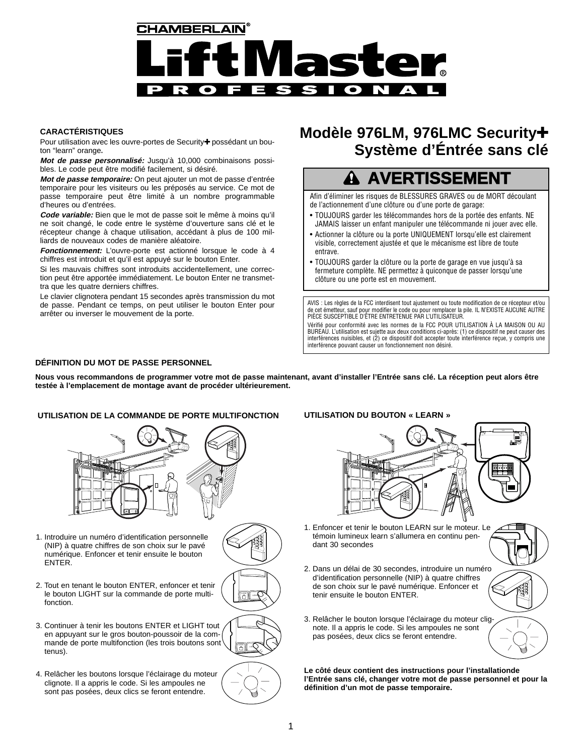

## **CARACTÉRISTIQUES**

Pour utilisation avec les ouvre-portes de Security+ possédant un bouton "learn" orange**.**

**Mot de passe personnalisé:** Jusqu'à 10,000 combinaisons possibles. Le code peut être modifié facilement, si désiré.

**Mot de passe temporaire:** On peut ajouter un mot de passe d'entrée temporaire pour les visiteurs ou les préposés au service. Ce mot de passe temporaire peut être limité à un nombre programmable d'heures ou d'entrées.

**Code variable:** Bien que le mot de passe soit le même à moins qu'il ne soit changé, le code entre le système d'ouverture sans clé et le récepteur change à chaque utilisation, accédant à plus de 100 milliards de nouveaux codes de manière aléatoire.

**Fonctionnement:** L'ouvre-porte est actionné lorsque le code à 4 chiffres est introduit et qu'il est appuyé sur le bouton Enter.

Si les mauvais chiffres sont introduits accidentellement, une correction peut être apportée immédiatement. Le bouton Enter ne transmettra que les quatre derniers chiffres.

Le clavier clignotera pendant 15 secondes après transmission du mot de passe. Pendant ce temps, on peut utiliser le bouton Enter pour arrêter ou inverser le mouvement de la porte.

# **Modèle 976LM, 976LMC Security**✚ **Système d'Éntrée sans clé**

# **AVERTISSEMENT**

Afin d'éliminer les risques de BLESSURES GRAVES ou de MORT découlant de l'actionnement d'une clôture ou d'une porte de garage:

- TOUJOURS garder les télécommandes hors de la portée des enfants. NE JAMAIS laisser un enfant manipuler une télécommande ni jouer avec elle.
- Actionner la clôture ou la porte UNIQUEMENT lorsqu'elle est clairement visible, correctement ajustée et que le mécanisme est libre de toute entrave.
- TOUJOURS garder la clôture ou la porte de garage en vue jusqu'à sa fermeture complète. NE permettez à quiconque de passer lorsqu'une clôture ou une porte est en mouvement.

AVIS : Les règles de la FCC interdisent tout ajustement ou toute modification de ce récepteur et/ou de cet émetteur, sauf pour modifier le code ou pour remplacer la pile. IL N'EXISTE AUCUNE AUTRE PIÈCE SUSCEPTIBLE D'ÊTRE ENTRETENUE PAR L'UTILISATEUR.

Vérifié pour conformité avec les normes de la FCC POUR UTILISATION À LA MAISON OU AU BUREAU. L'utilisation est sujette aux deux conditions ci-après: (1) ce dispositif ne peut causer des interférences nuisibles, et (2) ce dispositif doit accepter toute interférence reçue, y compris une interférence pouvant causer un fonctionnement non désiré.

#### **DÉFINITION DU MOT DE PASSE PERSONNEL**

**Nous vous recommandons de programmer votre mot de passe maintenant, avant d'installer l'Entrée sans clé. La réception peut alors être testée à l'emplacement de montage avant de procéder ultérieurement.**

#### **UTILISATION DE LA COMMANDE DE PORTE MULTIFONCTION UTILISATION DU BOUTON « LEARN »**



1. Introduire un numéro d'identification personnelle (NIP) à quatre chiffres de son choix sur le pavé numérique. Enfoncer et tenir ensuite le bouton ENTER.



LIGHT

LIGHT

- 2. Tout en tenant le bouton ENTER, enfoncer et tenir le bouton LIGHT sur la commande de porte multifonction.
- 3. Continuer à tenir les boutons ENTER et LIGHT tout en appuyant sur le gros bouton-poussoir de la commande de porte multifonction (les trois boutons sont tenus).
- 4. Relâcher les boutons lorsque l'éclairage du moteur clignote. Il a appris le code. Si les ampoules ne sont pas posées, deux clics se feront entendre.



- 1. Enfoncer et tenir le bouton LEARN sur le moteur. Le témoin lumineux learn s'allumera en continu pendant 30 secondes
- 2. Dans un délai de 30 secondes, introduire un numéro d'identification personnelle (NIP) à quatre chiffres de son choix sur le pavé numérique. Enfoncer et tenir ensuite le bouton ENTER.
- 3. Relâcher le bouton lorsque l'éclairage du moteur clignote. Il a appris le code. Si les ampoules ne sont pas posées, deux clics se feront entendre.

**Le côté deux contient des instructions pour l'installationde l'Entrée sans clé, changer votre mot de passe personnel et pour la définition d'un mot de passe temporaire.**